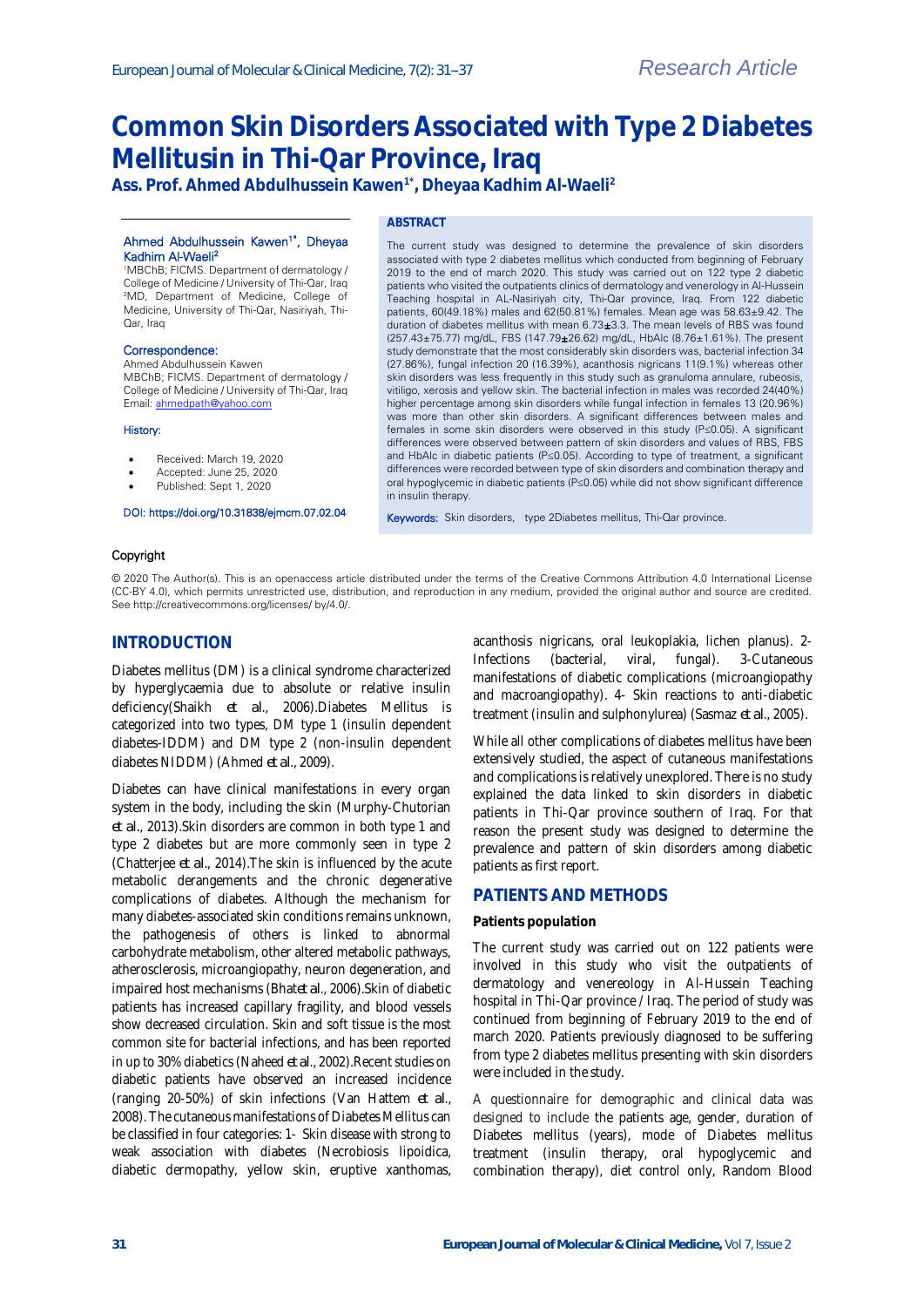# **Common Skin Disorders Associated with Type 2 Diabetes Mellitusin in Thi-Qar Province, Iraq**

**Ass. Prof. Ahmed Abdulhussein Kawen1\* , Dheyaa Kadhim Al-Waeli<sup>2</sup>**

#### Ahmed Abdulhussein Kawen<sup>1\*</sup>, Dheyaa Kadhim Al-Waeli<sup>2</sup>

<sup>1</sup>MBChB; FICMS. Department of dermatology / College of Medicine / University of Thi-Qar, Iraq <sup>2</sup>MD, Department of Medicine, College of Medicine, University of Thi-Qar, Nasiriyah, Thi-Qar, Iraq

## Correspondence:

Ahmed Abdulhussein Kawen MBChB; FICMS. Department of dermatology / College of Medicine / University of Thi-Qar, Iraq Email[: ahmedpath@yahoo.com](mailto:ahmedpath@yahoo.com)

#### History:

- Received: March 19, 2020
- Accepted: June 25, 2020
- Published: Sept 1, 2020

#### DOI: https://doi.org/10.31838/ejmcm.07.02.04

## **ABSTRACT**

The current study was designed to determine the prevalence of skin disorders associated with type 2 diabetes mellitus which conducted from beginning of February 2019 to the end of march 2020. This study was carried out on 122 type 2 diabetic patients who visited the outpatients clinics of dermatology and venerology in Al-Hussein Teaching hospital in AL-Nasiriyah city, Thi-Qar province, Iraq. From 122 diabetic patients, 60(49.18%) males and 62(50.81%) females. Mean age was 58.63±9.42. The duration of diabetes mellitus with mean 6.73±3.3. The mean levels of RBS was found (257.43±75.77) mg/dL, FBS (147.79±26.62) mg/dL, HbAlc (8.76±1.61%). The present study demonstrate that the most considerably skin disorders was, bacterial infection 34 (27.86%), fungal infection 20 (16.39%), acanthosis nigricans 11(9.1%) whereas other skin disorders was less frequently in this study such as granuloma annulare, rubeosis, vitiligo, xerosis and yellow skin. The bacterial infection in males was recorded 24(40%) higher percentage among skin disorders while fungal infection in females 13 (20.96%) was more than other skin disorders. A significant differences between males and females in some skin disorders were observed in this study (P≤0.05). A significant differences were observed between pattern of skin disorders and values of RBS, FBS and HbAlc in diabetic patients (P≤0.05). According to type of treatment, a significant differences were recorded between type of skin disorders and combination therapy and oral hypoglycemic in diabetic patients (P≤0.05) while did not show significant difference in insulin therapy.

Keywords: Skin disorders, type 2Diabetes mellitus, Thi-Qar province.

#### Copyright

© 2020 The Author(s). This is an openaccess article distributed under the terms of the Creative Commons Attribution 4.0 International License (CC-BY 4.0), which permits unrestricted use, distribution, and reproduction in any medium, provided the original author and source are credited. See http://creativecommons.org/licenses/ by/4.0/.

# **INTRODUCTION**

Diabetes mellitus (DM) is a clinical syndrome characterized by hyperglycaemia due to absolute or relative insulin deficiency(Shaikh *et al*., 2006).Diabetes Mellitus is categorized into two types, DM type 1 (insulin dependent diabetes-IDDM) and DM type 2 (non-insulin dependent diabetes NIDDM) (Ahmed *et al*., 2009).

Diabetes can have clinical manifestations in every organ system in the body, including the skin (Murphy-Chutorian *et al.*, 2013).Skin disorders are common in both type 1 and type 2 diabetes but are more commonly seen in type 2 (Chatterjee *et al.*, 2014).The skin is influenced by the acute metabolic derangements and the chronic degenerative complications of diabetes. Although the mechanism for many diabetes-associated skin conditions remains unknown, the pathogenesis of others is linked to abnormal carbohydrate metabolism, other altered metabolic pathways, atherosclerosis, microangiopathy, neuron degeneration, and impaired host mechanisms (Bhat*et al*., 2006).Skin of diabetic patients has increased capillary fragility, and blood vessels show decreased circulation. Skin and soft tissue is the most common site for bacterial infections, and has been reported in up to 30% diabetics (Naheed *et al*., 2002).Recent studies on diabetic patients have observed an increased incidence (ranging 20-50%) of skin infections (Van Hattem *et al*., 2008). The cutaneous manifestations of Diabetes Mellitus can be classified in four categories: 1- Skin disease with strong to weak association with diabetes (Necrobiosis lipoidica, diabetic dermopathy, yellow skin, eruptive xanthomas, acanthosis nigricans, oral leukoplakia, lichen planus). 2- Infections (bacterial, viral, fungal). 3-Cutaneous manifestations of diabetic complications (microangiopathy and macroangiopathy). 4- Skin reactions to anti-diabetic treatment (insulin and sulphonylurea) (Sasmaz *et al*., 2005).

While all other complications of diabetes mellitus have been extensively studied, the aspect of cutaneous manifestations and complications is relatively unexplored. There is no study explained the data linked to skin disorders in diabetic patients in Thi-Qar province southern of Iraq. For that reason the present study was designed to determine the prevalence and pattern of skin disorders among diabetic patients as first report.

# **PATIENTS AND METHODS**

#### **Patients population**

The current study was carried out on 122 patients were involved in this study who visit the outpatients of dermatology and venereology in Al-Hussein Teaching hospital in Thi-Qar province / Iraq. The period of study was continued from beginning of February 2019 to the end of march 2020. Patients previously diagnosed to be suffering from type 2 diabetes mellitus presenting with skin disorders were included in the study.

A questionnaire for demographic and clinical data was designed to include the patients age, gender, duration of Diabetes mellitus (years), mode of Diabetes mellitus treatment (insulin therapy, oral hypoglycemic and combination therapy), diet control only, Random Blood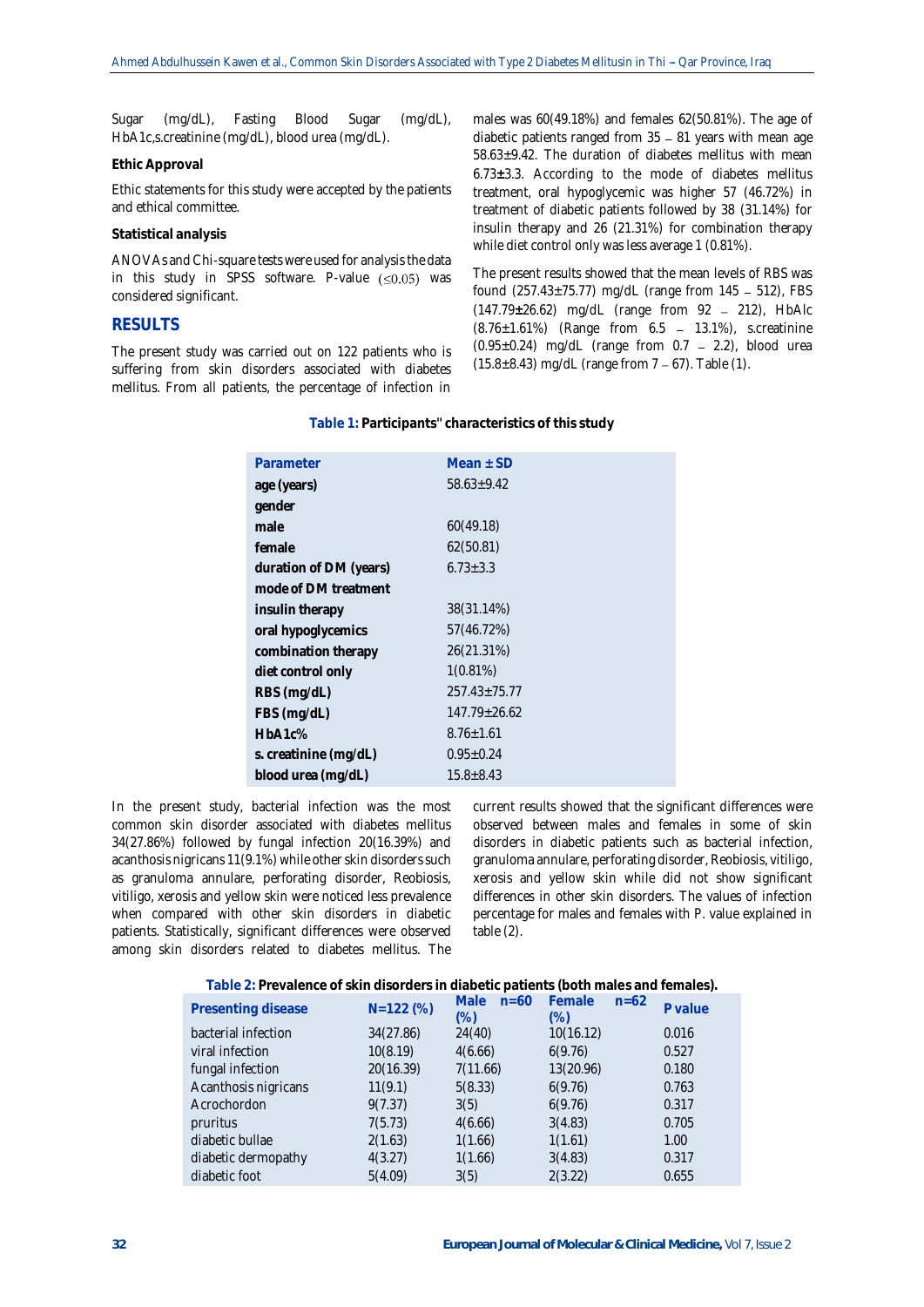Sugar (mg/dL), Fasting Blood Sugar (mg/dL), HbA1c,s.creatinine (mg/dL), blood urea (mg/dL).

### **Ethic Approval**

Ethic statements for this study were accepted by the patients and ethical committee.

## **Statistical analysis**

ANOVAs and Chi-square tests were used for analysis the data in this study in SPSS software. P-value  $(\leq 0.05)$  was considered significant.

# **RESULTS**

The present study was carried out on 122 patients who is suffering from skin disorders associated with diabetes mellitus. From all patients, the percentage of infection in males was 60(49.18%) and females 62(50.81%). The age of diabetic patients ranged from  $35 - 81$  years with mean age 58.63±9.42. The duration of diabetes mellitus with mean 6.73**±**3.3. According to the mode of diabetes mellitus treatment, oral hypoglycemic was higher 57 (46.72%) in treatment of diabetic patients followed by 38 (31.14%) for insulin therapy and 26 (21.31%) for combination therapy while diet control only was less average 1 (0.81%).

The present results showed that the mean levels of RBS was found  $(257.43 \pm 75.77)$  mg/dL (range from 145 - 512), FBS (147.79±26.62) mg/dL (range from 92 - 212), HbAlc  $(8.76 \pm 1.61\%)$  (Range from 6.5 - 13.1%), s.creatinine  $(0.95\pm0.24)$  mg/dL (range from 0.7 - 2.2), blood urea  $(15.8\pm8.43)$  mg/dL (range from  $7 - 67$ ). Table (1).

| Parameter              | Mean $\pm$ SD      |
|------------------------|--------------------|
| age (years)            | $58.63 \pm 9.42$   |
| gender                 |                    |
| male                   | 60(49.18)          |
| female                 | 62(50.81)          |
| duration of DM (years) | $6.73 \pm 3.3$     |
| mode of DM treatment   |                    |
| insulin therapy        | 38(31.14%)         |
| oral hypoglycemics     | 57(46.72%)         |
| combination therapy    | 26(21.31%)         |
| diet control only      | 1(0.81%)           |
| RBS (mg/dL)            | $257.43 \pm 75.77$ |
| FBS (mg/dL)            | $147.79 \pm 26.62$ |
| HbA1c%                 | $8.76 \pm 1.61$    |
| s. creatinine (mg/dL)  | $0.95 \pm 0.24$    |
| blood urea (mg/dL)     | $15.8 \pm 8.43$    |

**Table 1: Participants'' characteristics of this study**

In the present study, bacterial infection was the most common skin disorder associated with diabetes mellitus 34(27.86%) followed by fungal infection 20(16.39%) and acanthosis nigricans  $11(9.1\%)$  while other skin disorders such as granuloma annulare, perforating disorder, Reobiosis, vitiligo, xerosis and yellow skin were noticed less prevalence when compared with other skin disorders in diabetic patients. Statistically, significant differences were observed among skin disorders related to diabetes mellitus. The

current results showed that the significant differences were observed between males and females in some of skin disorders in diabetic patients such as bacterial infection, granuloma annulare, perforating disorder, Reobiosis, vitiligo, xerosis and yellow skin while did not show significant differences in other skin disorders. The values of infection percentage for males and females with P. value explained in table (2).

| Table 2: Prevalence of skin disorders in diabetic patients (both males and females). |
|--------------------------------------------------------------------------------------|
|--------------------------------------------------------------------------------------|

| Presenting disease   | $N=122(%)$ | <b>Male</b><br>$n = 60$<br>$(\%)$ | Female<br>$n = 62$<br>$(\%)$ | P value |
|----------------------|------------|-----------------------------------|------------------------------|---------|
| bacterial infection  | 34(27.86)  | 24(40)                            | 10(16.12)                    | 0.016   |
| viral infection      | 10(8.19)   | 4(6.66)                           | 6(9.76)                      | 0.527   |
| fungal infection     | 20(16.39)  | 7(11.66)                          | 13(20.96)                    | 0.180   |
| Acanthosis nigricans | 11(9.1)    | 5(8.33)                           | 6(9.76)                      | 0.763   |
| Acrochordon          | 9(7.37)    | 3(5)                              | 6(9.76)                      | 0.317   |
| pruritus             | 7(5.73)    | 4(6.66)                           | 3(4.83)                      | 0.705   |
| diabetic bullae      | 2(1.63)    | 1(1.66)                           | 1(1.61)                      | 1.00    |
| diabetic dermopathy  | 4(3.27)    | 1(1.66)                           | 3(4.83)                      | 0.317   |
| diabetic foot        | 5(4.09)    | 3(5)                              | 2(3.22)                      | 0.655   |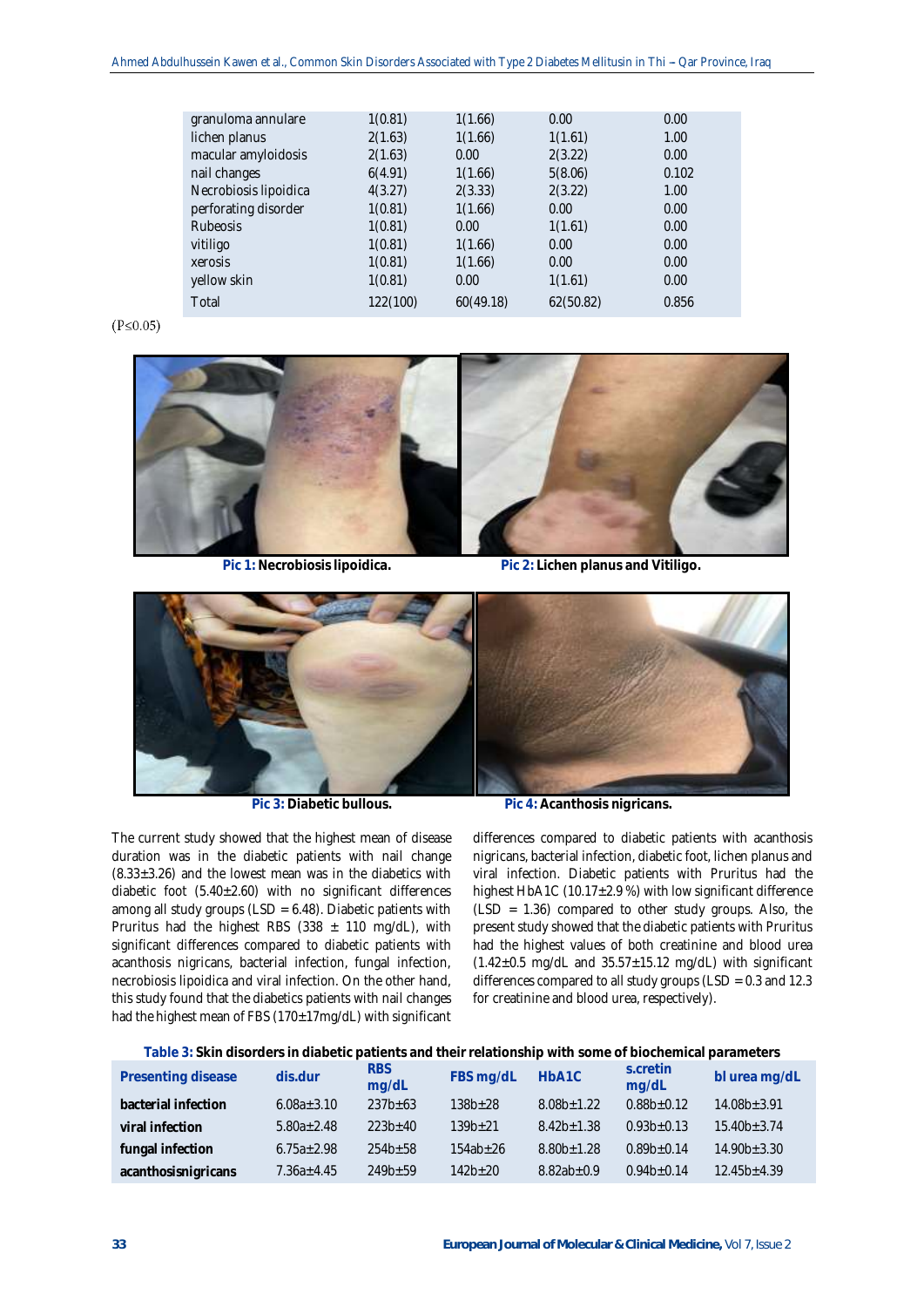| granuloma annulare    | 1(0.81)  | 1(1.66)   | 0.00      | 0.00  |
|-----------------------|----------|-----------|-----------|-------|
| lichen planus         | 2(1.63)  | 1(1.66)   | 1(1.61)   | 1.00  |
| macular amyloidosis   | 2(1.63)  | 0.00      | 2(3.22)   | 0.00  |
| nail changes          | 6(4.91)  | 1(1.66)   | 5(8.06)   | 0.102 |
| Necrobiosis lipoidica | 4(3.27)  | 2(3.33)   | 2(3.22)   | 1.00  |
| perforating disorder  | 1(0.81)  | 1(1.66)   | 0.00      | 0.00  |
| <b>Rubeosis</b>       | 1(0.81)  | 0.00      | 1(1.61)   | 0.00  |
| vitiligo              | 1(0.81)  | 1(1.66)   | 0.00      | 0.00  |
| xerosis               | 1(0.81)  | 1(1.66)   | 0.00      | 0.00  |
| yellow skin           | 1(0.81)  | 0.00      | 1(1.61)   | 0.00  |
| Total                 | 122(100) | 60(49.18) | 62(50.82) | 0.856 |
|                       |          |           |           |       |

## $(P \le 0.05)$



**Pic 1: Necrobiosis lipoidica. Pic 2: Lichen planus and Vitiligo.**



**Pic 3: Diabetic bullous. Pic 4: Acanthosis nigricans.**

The current study showed that the highest mean of disease duration was in the diabetic patients with nail change  $(8.33\pm3.26)$  and the lowest mean was in the diabetics with diabetic foot (5.40±2.60) with no significant differences among all study groups ( $LSD = 6.48$ ). Diabetic patients with Pruritus had the highest RBS (338  $\pm$  110 mg/dL), with significant differences compared to diabetic patients with acanthosis nigricans, bacterial infection, fungal infection, necrobiosis lipoidica and viral infection. On the other hand, this study found that the diabetics patients with nail changes had the highest mean of FBS (170±17mg/dL) with significant

differences compared to diabetic patients with acanthosis nigricans, bacterial infection, diabetic foot, lichen planus and viral infection. Diabetic patients with Pruritus had the highest HbA1C (10.17±2.9 %) with low significant difference (LSD = 1.36) compared to other study groups. Also, the present study showed that the diabetic patients with Pruritus had the highest values of both creatinine and blood urea  $(1.42\pm0.5 \text{ mg/dL}$  and  $35.57\pm15.12 \text{ mg/dL}$ ) with significant differences compared to all study groups ( $LSD = 0.3$  and  $12.3$ ) for creatinine and blood urea, respectively).

## **Table 3: Skin disorders in diabetic patients and their relationship with some of biochemical parameters**

| Presenting disease  | dis.dur          | <b>RBS</b><br>mg/dL | FBS mg/dL    | HbA1C          | s.cretin<br>mg/dL | bl urea mg/dL     |
|---------------------|------------------|---------------------|--------------|----------------|-------------------|-------------------|
| bacterial infection | $6.08a \pm 3.10$ | $237b \pm 63$       | $138b + 28$  | $8.08b + 1.22$ | $0.88b+0.12$      | $14.08b \pm 3.91$ |
| viral infection     | $5.80a \pm 2.48$ | $223b+40$           | $139b + 21$  | $8.42b + 1.38$ | $0.93b+0.13$      | $15.40b \pm 3.74$ |
| fungal infection    | $6.75a \pm 2.98$ | $254b+58$           | $154ab + 26$ | $8.80b + 1.28$ | $0.89b + 0.14$    | $14.90b \pm 3.30$ |
| acanthosisnigricans | $7.36a + 4.45$   | $249b+59$           | $142b+20$    | $8.82ab + 0.9$ | $0.94b+0.14$      | $12.45b + 4.39$   |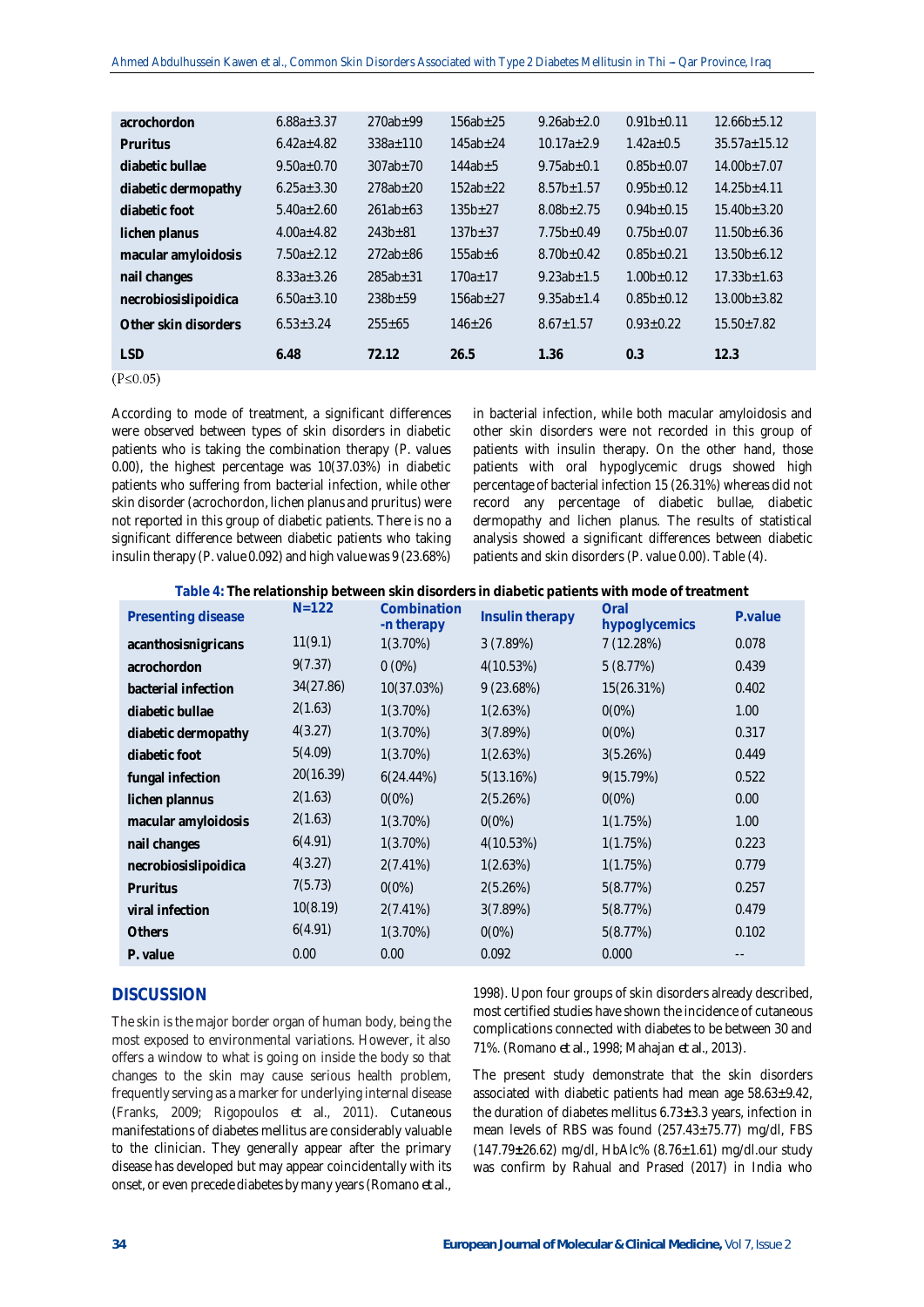| acrochordon          | $6.88a \pm 3.37$ | $270ab + 99$   | $156ab + 25$  | $9.26ab + 2.0$   | $0.91b + 0.11$   | $12.66b \pm 5.12$ |  |
|----------------------|------------------|----------------|---------------|------------------|------------------|-------------------|--|
| Pruritus             | $6.42a \pm 4.82$ | $338a + 110$   | $145ab + 24$  | $10.17a + 2.9$   | $1.42a + 0.5$    | $35.57a + 15.12$  |  |
| diabetic bullae      | $9.50a \pm 0.70$ | $307ab \pm 70$ | $144ab \pm 5$ | $9.75ab \pm 0.1$ | $0.85b \pm 0.07$ | $14.00b \pm 7.07$ |  |
| diabetic dermopathy  | $6.25a \pm 3.30$ | $278ab + 20$   | $152ab+22$    | $8.57b \pm 1.57$ | $0.95b+0.12$     | $14.25b + 4.11$   |  |
| diabetic foot        | $5.40a \pm 2.60$ | $261ab \pm 63$ | $135b+27$     | $8.08b \pm 2.75$ | $0.94b \pm 0.15$ | $15.40b \pm 3.20$ |  |
| lichen planus        | $4.00a + 4.82$   | $243b + 81$    | $137b + 37$   | $7.75b + 0.49$   | $0.75b \pm 0.07$ | $11.50b \pm 6.36$ |  |
| macular amyloidosis  | $7.50a + 2.12$   | $272ab \pm 86$ | $155ab + 6$   | $8.70b + 0.42$   | $0.85b \pm 0.21$ | $13.50b + 6.12$   |  |
| nail changes         | $8.33a + 3.26$   | $285ab \pm 31$ | $170a + 17$   | $9.23ab + 1.5$   | $1.00b + 0.12$   | $17.33b \pm 1.63$ |  |
| necrobiosislipoidica | $6.50a \pm 3.10$ | $238b + 59$    | $156ab + 27$  | $9.35ab + 1.4$   | $0.85b+0.12$     | $13.00b \pm 3.82$ |  |
| Other skin disorders | $6.53 + 3.24$    | $255 \pm 65$   | $146 + 26$    | $8.67 \pm 1.57$  | $0.93 + 0.22$    | $15.50 \pm 7.82$  |  |
| <b>LSD</b>           | 6.48             | 72.12          | 26.5          | 1.36             | 0.3              | 12.3              |  |
|                      |                  |                |               |                  |                  |                   |  |

 $(P \le 0.05)$ 

According to mode of treatment, a significant differences were observed between types of skin disorders in diabetic patients who is taking the combination therapy (P. values 0.00), the highest percentage was 10(37.03%) in diabetic patients who suffering from bacterial infection, while other skin disorder (acrochordon, lichen planus and pruritus) were not reported in this group of diabetic patients. There is no a significant difference between diabetic patients who taking insulin therapy (P. value 0.092) and high value was 9 (23.68%)

in bacterial infection, while both macular amyloidosis and other skin disorders were not recorded in this group of patients with insulin therapy. On the other hand, those patients with oral hypoglycemic drugs showed high percentage of bacterial infection 15 (26.31%) whereas did not record any percentage of diabetic bullae, diabetic dermopathy and lichen planus. The results of statistical analysis showed a significant differences between diabetic patients and skin disorders (P. value 0.00). Table (4).

**Table 4: The relationship between skin disorders in diabetic patients with mode of treatment**

| Presenting disease   | $N = 122$ | Combination<br>-n therapy | Insulin therapy | Oral<br>hypoglycemics | P.value |
|----------------------|-----------|---------------------------|-----------------|-----------------------|---------|
| acanthosisnigricans  | 11(9.1)   | $1(3.70\%)$               | 3 (7.89%)       | 7(12.28%)             | 0.078   |
| acrochordon          | 9(7.37)   | $0(0\%)$                  | 4(10.53%)       | 5(8.77%)              | 0.439   |
| bacterial infection  | 34(27.86) | 10(37.03%)                | 9(23.68%)       | 15(26.31%)            | 0.402   |
| diabetic bullae      | 2(1.63)   | $1(3.70\%)$               | 1(2.63%)        | $0(0\%)$              | 1.00    |
| diabetic dermopathy  | 4(3.27)   | $1(3.70\%)$               | 3(7.89%)        | $0(0\%)$              | 0.317   |
| diabetic foot        | 5(4.09)   | 1(3.70%)                  | 1(2.63%)        | 3(5.26%)              | 0.449   |
| fungal infection     | 20(16.39) | $6(24.44\%)$              | 5(13.16%)       | 9(15.79%)             | 0.522   |
| lichen plannus       | 2(1.63)   | $0(0\%)$                  | 2(5.26%)        | 0(0%)                 | 0.00    |
| macular amyloidosis  | 2(1.63)   | $1(3.70\%)$               | $0(0\%)$        | 1(1.75%)              | 1.00    |
| nail changes         | 6(4.91)   | $1(3.70\%)$               | 4(10.53%)       | 1(1.75%)              | 0.223   |
| necrobiosislipoidica | 4(3.27)   | 2(7.41%)                  | 1(2.63%)        | 1(1.75%)              | 0.779   |
| Pruritus             | 7(5.73)   | $0(0\%)$                  | 2(5.26%)        | 5(8.77%)              | 0.257   |
| viral infection      | 10(8.19)  | 2(7.41%)                  | 3(7.89%)        | 5(8.77%)              | 0.479   |
| <b>Others</b>        | 6(4.91)   | $1(3.70\%)$               | $0(0\%)$        | 5(8.77%)              | 0.102   |
| P. value             | 0.00      | 0.00                      | 0.092           | 0.000                 |         |
|                      |           |                           |                 |                       |         |

# **DISCUSSION**

The skin is the major border organ of human body, being the most exposed to environmental variations. However, it also offers a window to what is going on inside the body so that changes to the skin may cause serious health problem, frequently serving as a marker for underlying internal disease (Franks, 2009; Rigopoulos *et al*., 2011). Cutaneous manifestations of diabetes mellitus are considerably valuable to the clinician. They generally appear after the primary disease has developed but may appear coincidentally with its onset, or even precede diabetes by many years (Romano *et al*.,

1998). Upon four groups of skin disorders already described, most certified studies have shown the incidence of cutaneous complications connected with diabetes to be between 30 and 71%. (Romano *et al*., 1998; Mahajan *et al*., 2013).

The present study demonstrate that the skin disorders associated with diabetic patients had mean age 58.63±9.42, the duration of diabetes mellitus 6.73**±**3.3 years, infection in mean levels of RBS was found (257.43±75.77) mg/dl, FBS (147.79**±**26.62) mg/dl, HbAlc% (8.76±1.61) mg/dl.our study was confirm by Rahual and Prased (2017) in India who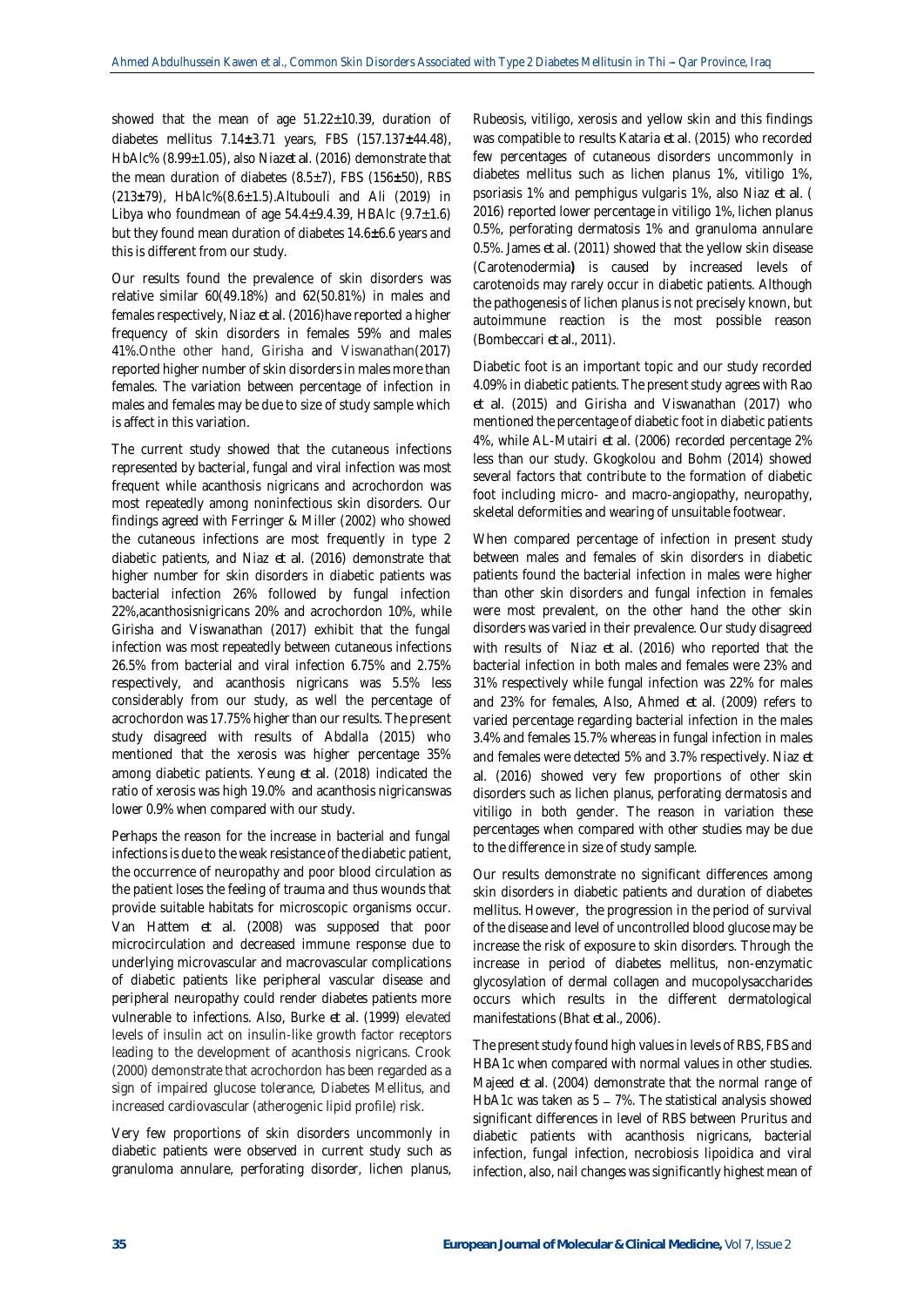showed that the mean of age  $51.22 \pm 10.39$ , duration of diabetes mellitus 7.14**±**3.71 years, FBS (157.137**±**44.48), HbAlc% (8.99±1.05), also Niaz*et al*. (2016) demonstrate that the mean duration of diabetes (8.5±7), FBS (156**±**50), RBS (213**±**79), HbAlc%(8.6±1.5).Altubouli and Ali (2019) in Libya who foundmean of age  $54.4 \pm 9.4.39$ , HBAlc ( $9.7 \pm 1.6$ ) but they found mean duration of diabetes 14.6**±**6.6 years and this is different from our study.

Our results found the prevalence of skin disorders was relative similar 60(49.18%) and 62(50.81%) in males and females respectively, Niaz *et al*. (2016)have reported a higher frequency of skin disorders in females 59% and males 41%.Onthe other hand, Girisha and Viswanathan(2017) reported higher number of skin disorders in males more than females. The variation between percentage of infection in males and females may be due to size of study sample which is affect in this variation.

The current study showed that the cutaneous infections represented by bacterial, fungal and viral infection was most frequent while acanthosis nigricans and acrochordon was most repeatedly among noninfectious skin disorders. Our findings agreed with Ferringer & Miller (2002) who showed the cutaneous infections are most frequently in type 2 diabetic patients, and Niaz *et al*. (2016) demonstrate that higher number for skin disorders in diabetic patients was bacterial infection 26% followed by fungal infection 22%,acanthosisnigricans 20% and acrochordon 10%, while Girisha and Viswanathan (2017) exhibit that the fungal infection was most repeatedly between cutaneous infections 26.5% from bacterial and viral infection 6.75% and 2.75% respectively, and acanthosis nigricans was 5.5% less considerably from our study, as well the percentage of acrochordon was 17.75% higher than our results. The present study disagreed with results of Abdalla (2015) who mentioned that the xerosis was higher percentage 35% among diabetic patients. Yeung *et al*. (2018) indicated the ratio of xerosis was high 19.0% and acanthosis nigricanswas lower 0.9% when compared with our study.

Perhaps the reason for the increase in bacterial and fungal infections is due to the weak resistance of the diabetic patient, the occurrence of neuropathy and poor blood circulation as the patient loses the feeling of trauma and thus wounds that provide suitable habitats for microscopic organisms occur. Van Hattem *et al*. (2008) was supposed that poor microcirculation and decreased immune response due to underlying microvascular and macrovascular complications of diabetic patients like peripheral vascular disease and peripheral neuropathy could render diabetes patients more vulnerable to infections. Also, Burke *et al*. (1999) elevated levels of insulin act on insulin-like growth factor receptors leading to the development of acanthosis nigricans. Crook (2000) demonstrate that acrochordon has been regarded as a sign of impaired glucose tolerance, Diabetes Mellitus, and increased cardiovascular (atherogenic lipid profile) risk.

Very few proportions of skin disorders uncommonly in diabetic patients were observed in current study such as granuloma annulare, perforating disorder, lichen planus,

Rubeosis, vitiligo, xerosis and yellow skin and this findings was compatible to results Kataria *et al*. (2015) who recorded few percentages of cutaneous disorders uncommonly in diabetes mellitus such as lichen planus 1%, vitiligo 1%, psoriasis 1% and pemphigus vulgaris 1%, also Niaz *et al*. ( 2016) reported lower percentage in vitiligo 1%, lichen planus 0.5%, perforating dermatosis 1% and granuloma annulare 0.5%. James *et al*. (2011) showed that the yellow skin disease (Carotenodermia**)** is caused by increased levels of carotenoids may rarely occur in diabetic patients. Although the pathogenesis of lichen planus is not precisely known, but autoimmune reaction is the most possible reason (Bombeccari *et al*., 2011).

Diabetic foot is an important topic and our study recorded 4.09% in diabetic patients. The present study agrees with Rao *et al*. (2015) and Girisha and Viswanathan (2017) who mentioned the percentage of diabetic foot in diabetic patients 4%, while AL-Mutairi *et al*. (2006) recorded percentage 2% less than our study. Gkogkolou and Bohm (2014) showed several factors that contribute to the formation of diabetic foot including micro- and macro-angiopathy, neuropathy, skeletal deformities and wearing of unsuitable footwear.

When compared percentage of infection in present study between males and females of skin disorders in diabetic patients found the bacterial infection in males were higher than other skin disorders and fungal infection in females were most prevalent, on the other hand the other skin disorders was varied in their prevalence. Our study disagreed with results of Niaz *et al*. (2016) who reported that the bacterial infection in both males and females were 23% and 31% respectively while fungal infection was 22% for males and 23% for females, Also, Ahmed *et al*. (2009) refers to varied percentage regarding bacterial infection in the males 3.4% and females 15.7% whereas in fungal infection in males and females were detected 5% and 3.7% respectively. Niaz *et al*. (2016) showed very few proportions of other skin disorders such as lichen planus, perforating dermatosis and vitiligo in both gender. The reason in variation these percentages when compared with other studies may be due to the difference in size of study sample.

Our results demonstrate no significant differences among skin disorders in diabetic patients and duration of diabetes mellitus. However, the progression in the period of survival of the disease and level of uncontrolled blood glucose may be increase the risk of exposure to skin disorders. Through the increase in period of diabetes mellitus, non-enzymatic glycosylation of dermal collagen and mucopolysaccharides occurs which results in the different dermatological manifestations (Bhat *et al*., 2006).

The present study found high values in levels of RBS, FBS and HBA1c when compared with normal values in other studies. Majeed *et al*. (2004) demonstrate that the normal range of HbA1c was taken as  $5 - 7\%$ . The statistical analysis showed significant differences in level of RBS between Pruritus and diabetic patients with acanthosis nigricans, bacterial infection, fungal infection, necrobiosis lipoidica and viral infection, also, nail changes was significantly highest mean of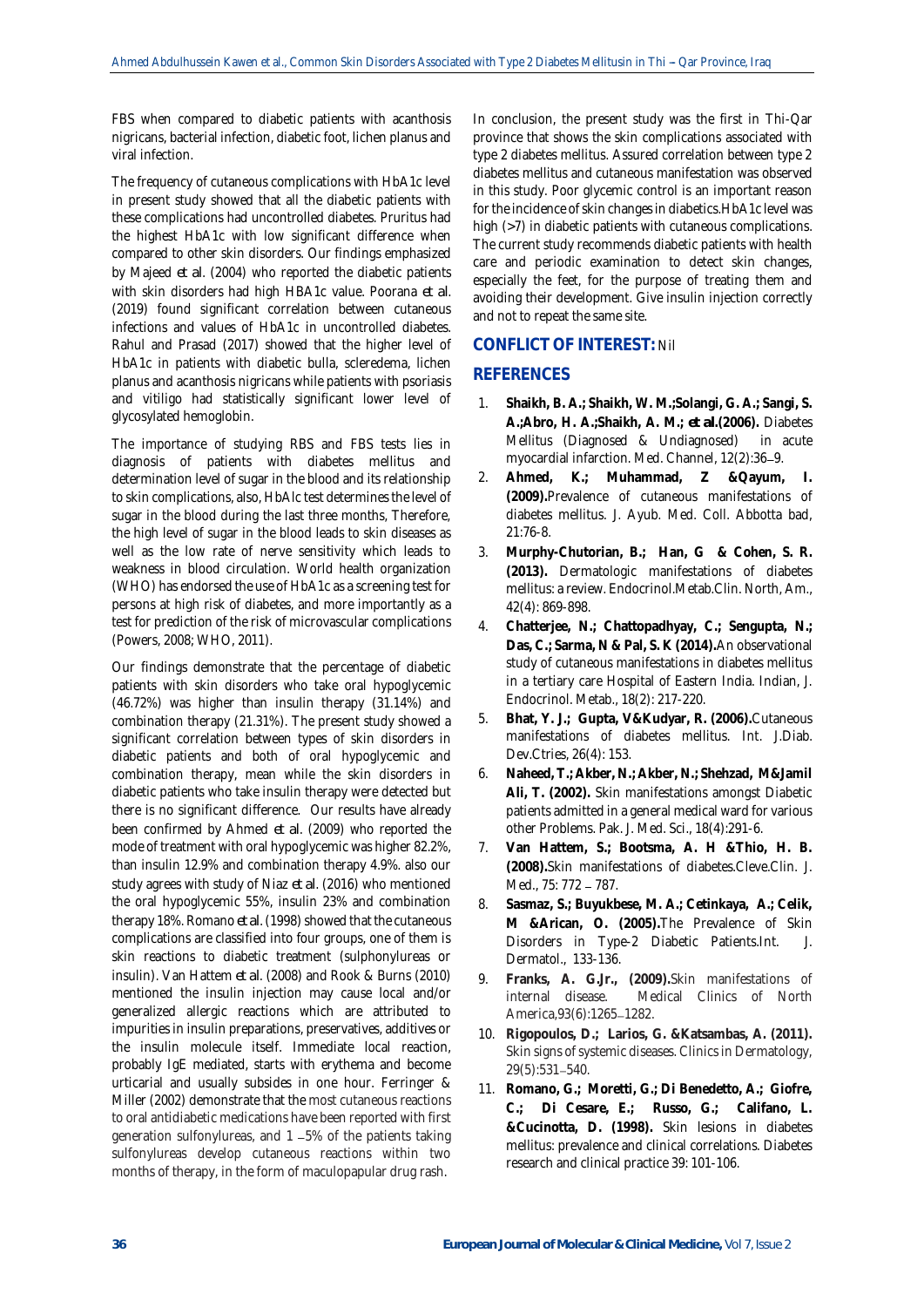FBS when compared to diabetic patients with acanthosis nigricans, bacterial infection, diabetic foot, lichen planus and viral infection.

The frequency of cutaneous complications with HbA1c level in present study showed that all the diabetic patients with these complications had uncontrolled diabetes. Pruritus had the highest HbA1c with low significant difference when compared to other skin disorders. Our findings emphasized by Majeed *et al*. (2004) who reported the diabetic patients with skin disorders had high HBA1c value. Poorana *et al*. (2019) found significant correlation between cutaneous infections and values of HbA1c in uncontrolled diabetes. Rahul and Prasad (2017) showed that the higher level of HbA1c in patients with diabetic bulla, scleredema, lichen planus and acanthosis nigricans while patients with psoriasis and vitiligo had statistically significant lower level of glycosylated hemoglobin.

The importance of studying RBS and FBS tests lies in diagnosis of patients with diabetes mellitus and determination level of sugar in the blood and its relationship to skin complications, also, HbAlc test determines the level of sugar in the blood during the last three months, Therefore, the high level of sugar in the blood leads to skin diseases as well as the low rate of nerve sensitivity which leads to weakness in blood circulation. World health organization (WHO) has endorsed the use of HbA1c as a screening test for persons at high risk of diabetes, and more importantly as a test for prediction of the risk of microvascular complications (Powers, 2008; WHO, 2011).

Our findings demonstrate that the percentage of diabetic patients with skin disorders who take oral hypoglycemic (46.72%) was higher than insulin therapy (31.14%) and combination therapy (21.31%). The present study showed a significant correlation between types of skin disorders in diabetic patients and both of oral hypoglycemic and combination therapy, mean while the skin disorders in diabetic patients who take insulin therapy were detected but there is no significant difference. Our results have already been confirmed by Ahmed *et al*. (2009) who reported the mode of treatment with oral hypoglycemic was higher 82.2%, than insulin 12.9% and combination therapy 4.9%. also our study agrees with study of Niaz *et al*. (2016) who mentioned the oral hypoglycemic 55%, insulin 23% and combination therapy 18%. Romano *et al*. (1998) showed that the cutaneous complications are classified into four groups, one of them is skin reactions to diabetic treatment (sulphonylureas or insulin). Van Hattem *et al*. (2008) and Rook & Burns (2010) mentioned the insulin injection may cause local and/or generalized allergic reactions which are attributed to impurities in insulin preparations, preservatives, additives or the insulin molecule itself. Immediate local reaction, probably IgE mediated, starts with erythema and become urticarial and usually subsides in one hour. Ferringer & Miller (2002) demonstrate that the most cutaneous reactions to oral antidiabetic medications have been reported with first generation sulfonylureas, and 1 5% of the patients taking sulfonylureas develop cutaneous reactions within two months of therapy, in the form of maculopapular drug rash.

In conclusion, the present study was the first in Thi-Qar province that shows the skin complications associated with type 2 diabetes mellitus. Assured correlation between type 2 diabetes mellitus and cutaneous manifestation was observed in this study. Poor glycemic control is an important reason for the incidence of skin changes in diabetics.HbA1c level was high (>7) in diabetic patients with cutaneous complications. The current study recommends diabetic patients with health care and periodic examination to detect skin changes, especially the feet, for the purpose of treating them and avoiding their development. Give insulin injection correctly and not to repeat the same site.

# **CONFLICT OF INTEREST:** Nil

# **REFERENCES**

- 1. **Shaikh, B. A.; Shaikh, W. M.;Solangi, G. A.; Sangi, S. A.;Abro, H. A.;Shaikh, A. M.;** *et al***.(2006).** Diabetes Mellitus (Diagnosed & Undiagnosed) in acute myocardial infarction. Med. Channel, 12(2):36-9.
- 2. **Ahmed, K.; Muhammad, Z &Qayum, I. (2009).**Prevalence of cutaneous manifestations of diabetes mellitus. J. Ayub. Med. Coll. Abbotta bad, 21:76-8.
- 3. **Murphy-Chutorian, B.; Han, G & Cohen, S. R. (2013).** Dermatologic manifestations of diabetes mellitus: a review. Endocrinol.Metab.Clin. North, Am., 42(4): 869-898.
- 4. **Chatterjee, N.; Chattopadhyay, C.; Sengupta, N.; Das, C.; Sarma, N & Pal, S. K (2014).**An observational study of cutaneous manifestations in diabetes mellitus in a tertiary care Hospital of Eastern India. Indian, J. Endocrinol. Metab., 18(2): 217-220.
- 5. **Bhat, Y. J.; Gupta, V&Kudyar, R. (2006).**Cutaneous manifestations of diabetes mellitus. Int. J.Diab. Dev.Ctries, 26(4): 153.
- 6. **Naheed, T.; Akber, N.; Akber, N.; Shehzad, M&Jamil Ali, T. (2002).** Skin manifestations amongst Diabetic patients admitted in a general medical ward for various other Problems. Pak. J. Med. Sci., 18(4):291-6.
- 7. **Van Hattem, S.; Bootsma, A. H &Thio, H. B. (2008).**Skin manifestations of diabetes.Cleve.Clin. J. Med., 75: 772 - 787.
- 8. **Sasmaz, S.; Buyukbese, M. A.; Cetinkaya, A.; Celik, M &Arican, O. (2005).**The Prevalence of Skin Disorders in Type-2 Diabetic Patients.Int. J. Dermatol., 133-136.
- 9. **Franks, A. G.Jr., (2009).**Skin manifestations of internal disease. Medical Clinics of North America, 93(6): 1265-1282.
- 10. **Rigopoulos, D.; Larios, G. &Katsambas, A. (2011).** Skin signs of systemic diseases. Clinics in Dermatology, 29(5):531-540.
- 11. **Romano, G.; Moretti, G.; Di Benedetto, A.; Giofre, C.; Di Cesare, E.; Russo, G.; Califano, L. &Cucinotta, D. (1998).** Skin lesions in diabetes mellitus: prevalence and clinical correlations. Diabetes research and clinical practice 39: 101-106.